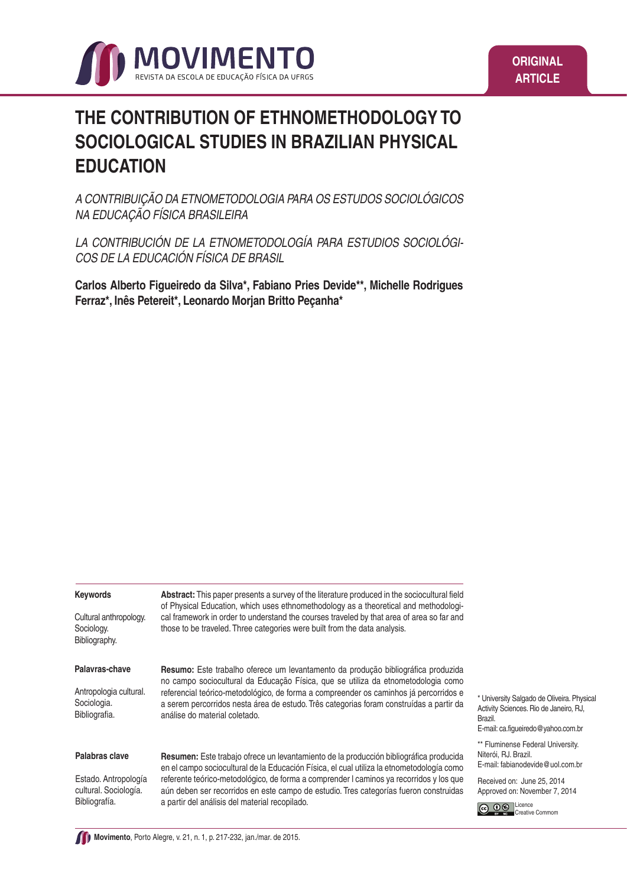

# **THE CONTRIBUTION OF ETHNOMETHODOLOGY TO SOCIOLOGICAL STUDIES IN BRAZILIAN PHYSICAL EDUCATION**

A CONTRIBUIÇÃO DA ETNOMETODOLOGIA PARA OS ESTUDOS SOCIOLÓGICOS NA EDUCAÇÃO FÍSICA BRASILEIRA

LA CONTRIBUCIÓN DE LA ETNOMETODOLOGÍA PARA ESTUDIOS SOCIOLÓGI-COS DE LA EDUCACIÓN FÍSICA DE BRASIL

**Carlos Alberto Figueiredo da Silva\*, Fabiano Pries Devide\*\*, Michelle Rodrigues Ferraz\*, Inês Petereit\*, Leonardo Morjan Britto Peçanha\***

| <b>Keywords</b>                                                | Abstract: This paper presents a survey of the literature produced in the sociocultural field<br>of Physical Education, which uses ethnomethodology as a theoretical and methodologi-                                               |                                                                                                                                       |
|----------------------------------------------------------------|------------------------------------------------------------------------------------------------------------------------------------------------------------------------------------------------------------------------------------|---------------------------------------------------------------------------------------------------------------------------------------|
| Cultural anthropology.<br>Sociology.<br>Bibliography.          | cal framework in order to understand the courses traveled by that area of area so far and<br>those to be traveled. Three categories were built from the data analysis.                                                             |                                                                                                                                       |
| Palavras-chave                                                 | <b>Resumo:</b> Este trabalho oferece um levantamento da produção bibliográfica produzida<br>no campo sociocultural da Educação Física, que se utiliza da etnometodologia como                                                      |                                                                                                                                       |
| Antropologia cultural.<br>Sociologia.<br>Bibliografia.         | referencial teórico-metodológico, de forma a compreender os caminhos já percorridos e<br>a serem percorridos nesta área de estudo. Três categorias foram construídas a partir da<br>análise do material coletado.                  | * University Salgado de Oliveira. Physical<br>Activity Sciences. Rio de Janeiro, RJ,<br>Brazil.<br>E-mail: ca.figueiredo@yahoo.com.br |
| Palabras clave                                                 | <b>Resumen:</b> Este trabajo ofrece un levantamiento de la producción bibliográfica producida<br>en el campo sociocultural de la Educación Física, el cual utiliza la etnometodología como                                         | ** Fluminense Federal University.<br>Niterói, RJ. Brazil.<br>E-mail: fabianodevide@uol.com.br                                         |
| Estado. Antropología<br>cultural. Sociología.<br>Bibliografía. | referente teórico-metodológico, de forma a comprender I caminos ya recorridos y los que<br>aún deben ser recorridos en este campo de estudio. Tres categorías fueron construidas<br>a partir del análisis del material recopilado. | Received on: June 25, 2014<br>Approved on: November 7, 2014<br>Licence<br>eative Commom                                               |
|                                                                |                                                                                                                                                                                                                                    |                                                                                                                                       |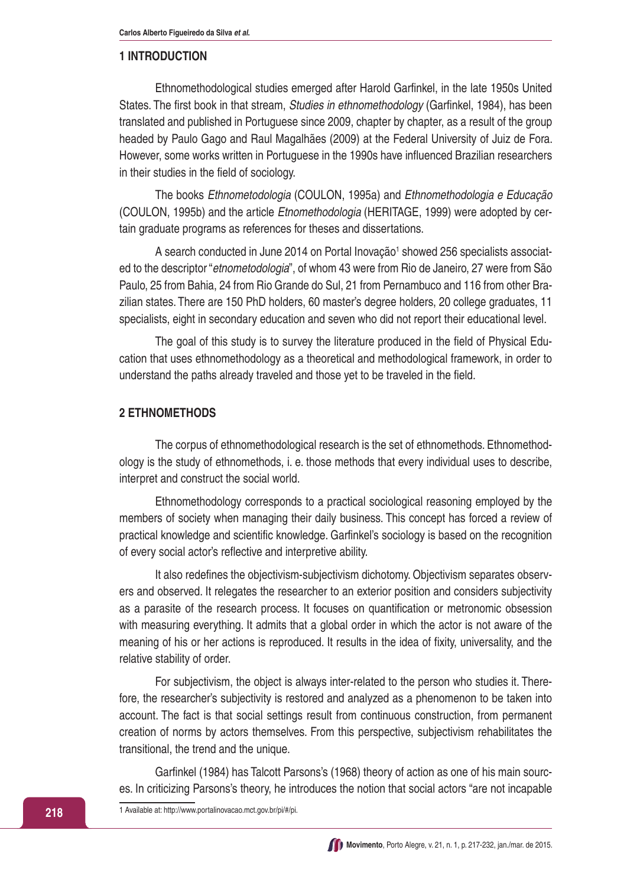#### **1 INTRODUCTION**

Ethnomethodological studies emerged after Harold Garfinkel, in the late 1950s United States. The first book in that stream, *Studies in ethnomethodology* (Garfinkel, 1984), has been translated and published in Portuguese since 2009, chapter by chapter, as a result of the group headed by Paulo Gago and Raul Magalhães (2009) at the Federal University of Juiz de Fora. However, some works written in Portuguese in the 1990s have influenced Brazilian researchers in their studies in the field of sociology.

The books Ethnometodologia (COULON, 1995a) and Ethnomethodologia e Educação (COULON, 1995b) and the article Etnomethodologia (HERITAGE, 1999) were adopted by certain graduate programs as references for theses and dissertations.

A search conducted in June 2014 on Portal Inovação<sup>1</sup> showed 256 specialists associated to the descriptor "etnometodologia", of whom 43 were from Rio de Janeiro, 27 were from São Paulo, 25 from Bahia, 24 from Rio Grande do Sul, 21 from Pernambuco and 116 from other Brazilian states. There are 150 PhD holders, 60 master's degree holders, 20 college graduates, 11 specialists, eight in secondary education and seven who did not report their educational level.

The goal of this study is to survey the literature produced in the field of Physical Education that uses ethnomethodology as a theoretical and methodological framework, in order to understand the paths already traveled and those yet to be traveled in the field.

#### **2 ETHNOMETHODS**

The corpus of ethnomethodological research is the set of ethnomethods. Ethnomethodology is the study of ethnomethods, i. e. those methods that every individual uses to describe, interpret and construct the social world.

Ethnomethodology corresponds to a practical sociological reasoning employed by the members of society when managing their daily business. This concept has forced a review of practical knowledge and scientific knowledge. Garfinkel's sociology is based on the recognition of every social actor's reflective and interpretive ability.

It also redefines the objectivism-subjectivism dichotomy. Objectivism separates observers and observed. It relegates the researcher to an exterior position and considers subjectivity as a parasite of the research process. It focuses on quantification or metronomic obsession with measuring everything. It admits that a global order in which the actor is not aware of the meaning of his or her actions is reproduced. It results in the idea of fixity, universality, and the relative stability of order.

For subjectivism, the object is always inter-related to the person who studies it. Therefore, the researcher's subjectivity is restored and analyzed as a phenomenon to be taken into account. The fact is that social settings result from continuous construction, from permanent creation of norms by actors themselves. From this perspective, subjectivism rehabilitates the transitional, the trend and the unique.

Garfinkel (1984) has Talcott Parsons's (1968) theory of action as one of his main sources. In criticizing Parsons's theory, he introduces the notion that social actors "are not incapable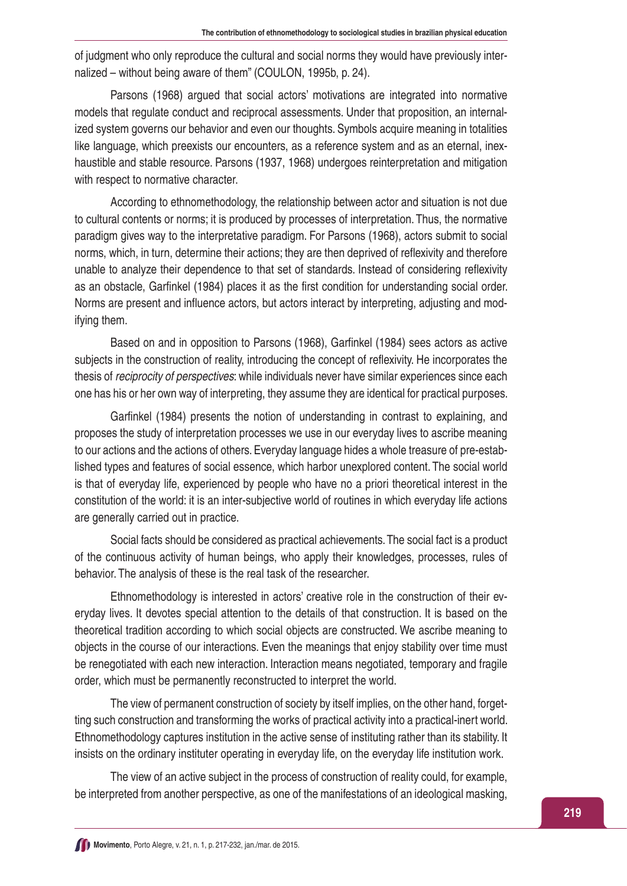of judgment who only reproduce the cultural and social norms they would have previously internalized – without being aware of them" (COULON, 1995b, p. 24).

Parsons (1968) argued that social actors' motivations are integrated into normative models that regulate conduct and reciprocal assessments. Under that proposition, an internalized system governs our behavior and even our thoughts. Symbols acquire meaning in totalities like language, which preexists our encounters, as a reference system and as an eternal, inexhaustible and stable resource. Parsons (1937, 1968) undergoes reinterpretation and mitigation with respect to normative character.

According to ethnomethodology, the relationship between actor and situation is not due to cultural contents or norms; it is produced by processes of interpretation. Thus, the normative paradigm gives way to the interpretative paradigm. For Parsons (1968), actors submit to social norms, which, in turn, determine their actions; they are then deprived of reflexivity and therefore unable to analyze their dependence to that set of standards. Instead of considering reflexivity as an obstacle, Garfinkel (1984) places it as the first condition for understanding social order. Norms are present and influence actors, but actors interact by interpreting, adjusting and modifying them.

Based on and in opposition to Parsons (1968), Garfinkel (1984) sees actors as active subjects in the construction of reality, introducing the concept of reflexivity. He incorporates the thesis of reciprocity of perspectives: while individuals never have similar experiences since each one has his or her own way of interpreting, they assume they are identical for practical purposes.

Garfinkel (1984) presents the notion of understanding in contrast to explaining, and proposes the study of interpretation processes we use in our everyday lives to ascribe meaning to our actions and the actions of others. Everyday language hides a whole treasure of pre-established types and features of social essence, which harbor unexplored content. The social world is that of everyday life, experienced by people who have no a priori theoretical interest in the constitution of the world: it is an inter-subjective world of routines in which everyday life actions are generally carried out in practice.

Social facts should be considered as practical achievements. The social fact is a product of the continuous activity of human beings, who apply their knowledges, processes, rules of behavior. The analysis of these is the real task of the researcher.

Ethnomethodology is interested in actors' creative role in the construction of their everyday lives. It devotes special attention to the details of that construction. It is based on the theoretical tradition according to which social objects are constructed. We ascribe meaning to objects in the course of our interactions. Even the meanings that enjoy stability over time must be renegotiated with each new interaction. Interaction means negotiated, temporary and fragile order, which must be permanently reconstructed to interpret the world.

The view of permanent construction of society by itself implies, on the other hand, forgetting such construction and transforming the works of practical activity into a practical-inert world. Ethnomethodology captures institution in the active sense of instituting rather than its stability. It insists on the ordinary instituter operating in everyday life, on the everyday life institution work.

The view of an active subject in the process of construction of reality could, for example, be interpreted from another perspective, as one of the manifestations of an ideological masking,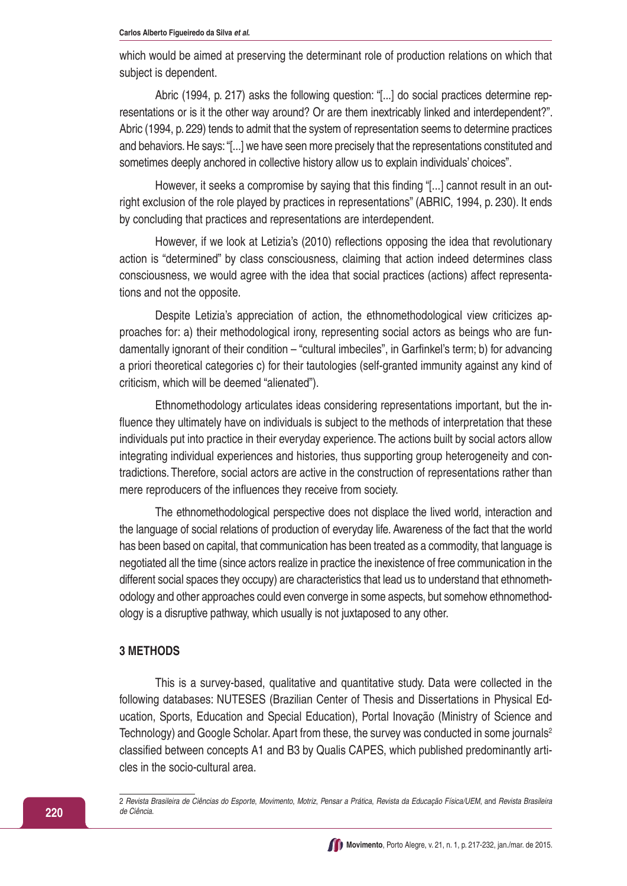which would be aimed at preserving the determinant role of production relations on which that subject is dependent.

Abric (1994, p. 217) asks the following question: "[...] do social practices determine representations or is it the other way around? Or are them inextricably linked and interdependent?". Abric (1994, p. 229) tends to admit that the system of representation seems to determine practices and behaviors. He says: "[...] we have seen more precisely that the representations constituted and sometimes deeply anchored in collective history allow us to explain individuals' choices".

However, it seeks a compromise by saying that this finding "[...] cannot result in an outright exclusion of the role played by practices in representations" (ABRIC, 1994, p. 230). It ends by concluding that practices and representations are interdependent.

However, if we look at Letizia's (2010) reflections opposing the idea that revolutionary action is "determined" by class consciousness, claiming that action indeed determines class consciousness, we would agree with the idea that social practices (actions) affect representations and not the opposite.

Despite Letizia's appreciation of action, the ethnomethodological view criticizes approaches for: a) their methodological irony, representing social actors as beings who are fundamentally ignorant of their condition – "cultural imbeciles", in Garfinkel's term; b) for advancing a priori theoretical categories c) for their tautologies (self-granted immunity against any kind of criticism, which will be deemed "alienated").

Ethnomethodology articulates ideas considering representations important, but the influence they ultimately have on individuals is subject to the methods of interpretation that these individuals put into practice in their everyday experience. The actions built by social actors allow integrating individual experiences and histories, thus supporting group heterogeneity and contradictions. Therefore, social actors are active in the construction of representations rather than mere reproducers of the influences they receive from society.

The ethnomethodological perspective does not displace the lived world, interaction and the language of social relations of production of everyday life. Awareness of the fact that the world has been based on capital, that communication has been treated as a commodity, that language is negotiated all the time (since actors realize in practice the inexistence of free communication in the different social spaces they occupy) are characteristics that lead us to understand that ethnomethodology and other approaches could even converge in some aspects, but somehow ethnomethodology is a disruptive pathway, which usually is not juxtaposed to any other.

#### **3 METHODS**

This is a survey-based, qualitative and quantitative study. Data were collected in the following databases: NUTESES (Brazilian Center of Thesis and Dissertations in Physical Education, Sports, Education and Special Education), Portal Inovação (Ministry of Science and Technology) and Google Scholar. Apart from these, the survey was conducted in some journals<sup>2</sup> classified between concepts A1 and B3 by Qualis CAPES, which published predominantly articles in the socio-cultural area.

2 Revista Brasileira de Ciências do Esporte, Movimento, Motriz, Pensar a Prática, Revista da Educação Física/UEM, and Revista Brasileira de Ciência.

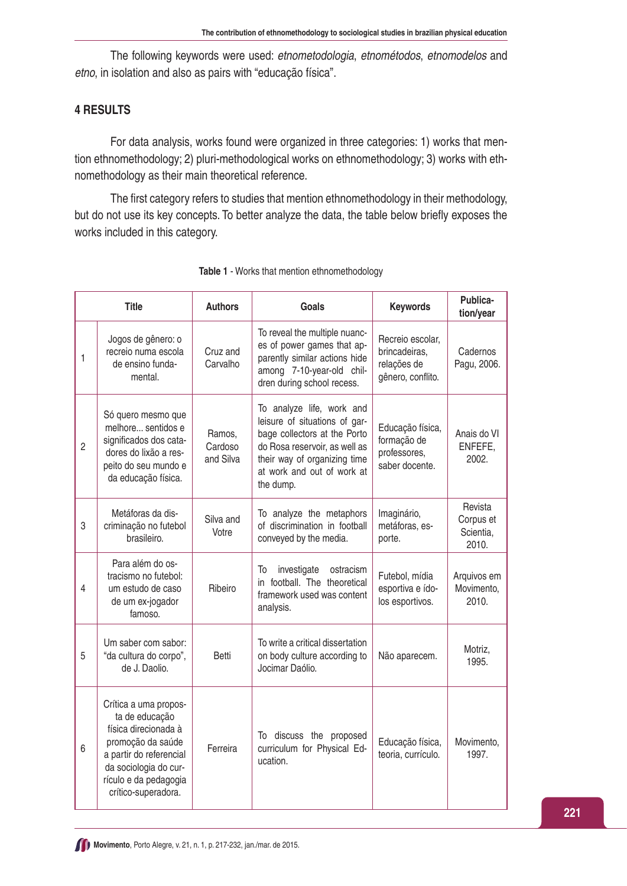The following keywords were used: etnometodologia, etnométodos, etnomodelos and etno, in isolation and also as pairs with "educação física".

## **4 RESULTS**

For data analysis, works found were organized in three categories: 1) works that mention ethnomethodology; 2) pluri-methodological works on ethnomethodology; 3) works with ethnomethodology as their main theoretical reference.

The first category refers to studies that mention ethnomethodology in their methodology, but do not use its key concepts. To better analyze the data, the table below briefly exposes the works included in this category.

| <b>Title</b>   |                                                                                                                                                                                          | <b>Authors</b>                 | <b>Goals</b>                                                                                                                                                                                           | <b>Keywords</b>                                                       | Publica-<br>tion/year                      |
|----------------|------------------------------------------------------------------------------------------------------------------------------------------------------------------------------------------|--------------------------------|--------------------------------------------------------------------------------------------------------------------------------------------------------------------------------------------------------|-----------------------------------------------------------------------|--------------------------------------------|
| 1              | Jogos de gênero: o<br>recreio numa escola<br>de ensino funda-<br>mental.                                                                                                                 | Cruz and<br>Carvalho           | To reveal the multiple nuanc-<br>es of power games that ap-<br>parently similar actions hide<br>among 7-10-year-old chil-<br>dren during school recess.                                                | Recreio escolar,<br>brincadeiras,<br>relações de<br>gênero, conflito. | Cadernos<br>Pagu, 2006.                    |
| $\overline{c}$ | Só quero mesmo que<br>melhore sentidos e<br>significados dos cata-<br>dores do lixão a res-<br>peito do seu mundo e<br>da educação física.                                               | Ramos,<br>Cardoso<br>and Silva | To analyze life, work and<br>leisure of situations of gar-<br>bage collectors at the Porto<br>do Rosa reservoir, as well as<br>their way of organizing time<br>at work and out of work at<br>the dump. | Educação física,<br>formação de<br>professores,<br>saber docente.     | Anais do VI<br>ENFEFE,<br>2002.            |
| 3              | Metáforas da dis-<br>criminação no futebol<br>brasileiro.                                                                                                                                | Silva and<br>Votre             | To analyze the metaphors<br>of discrimination in football<br>conveyed by the media.                                                                                                                    | Imaginário,<br>metáforas, es-<br>porte.                               | Revista<br>Corpus et<br>Scientia,<br>2010. |
| 4              | Para além do os-<br>tracismo no futebol:<br>um estudo de caso<br>de um ex-jogador<br>famoso.                                                                                             | Ribeiro                        | investigate<br>ostracism<br>To<br>in football. The theoretical<br>framework used was content<br>analysis.                                                                                              | Futebol, mídia<br>esportiva e ído-<br>los esportivos.                 | Arquivos em<br>Movimento,<br>2010.         |
| 5              | Um saber com sabor:<br>"da cultura do corpo",<br>de J. Daolio.                                                                                                                           | Betti                          | To write a critical dissertation<br>on body culture according to<br>Jocimar Daólio.                                                                                                                    | Não aparecem.                                                         | Motriz,<br>1995.                           |
| 6              | Crítica a uma propos-<br>ta de educação<br>física direcionada à<br>promoção da saúde<br>a partir do referencial<br>da sociologia do cur-<br>rículo e da pedagogia<br>crítico-superadora. | Ferreira                       | To discuss the proposed<br>curriculum for Physical Ed-<br>ucation.                                                                                                                                     | Educação física,<br>teoria, currículo.                                | Movimento,<br>1997.                        |

|  |  | Table 1 - Works that mention ethnomethodology |  |
|--|--|-----------------------------------------------|--|
|  |  |                                               |  |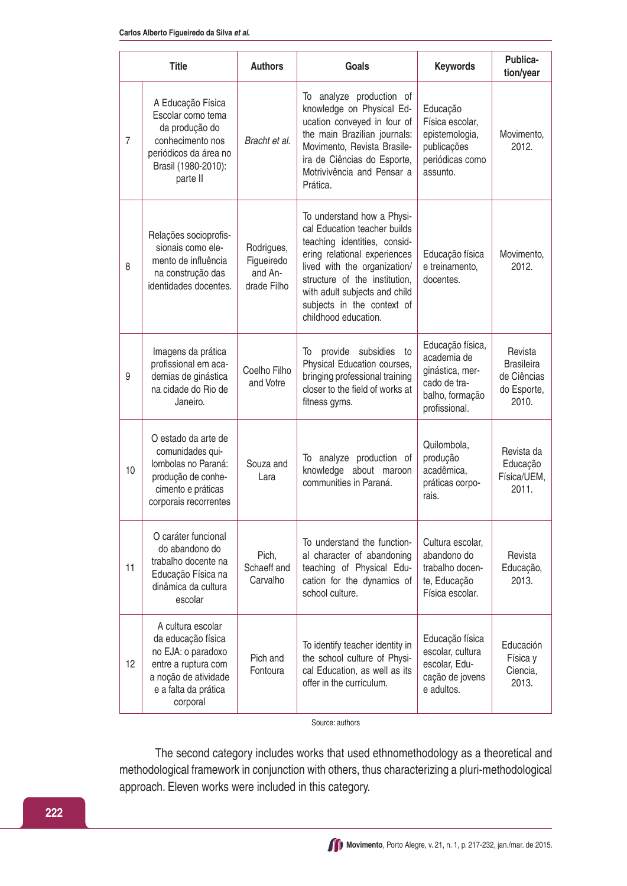|                | <b>Title</b>                                                                                                                                     | <b>Authors</b>                                     | Goals                                                                                                                                                                                                                                                                              | <b>Keywords</b>                                                                                        | Publica-<br>tion/year                                               |
|----------------|--------------------------------------------------------------------------------------------------------------------------------------------------|----------------------------------------------------|------------------------------------------------------------------------------------------------------------------------------------------------------------------------------------------------------------------------------------------------------------------------------------|--------------------------------------------------------------------------------------------------------|---------------------------------------------------------------------|
| $\overline{7}$ | A Educação Física<br>Escolar como tema<br>da produção do<br>conhecimento nos<br>periódicos da área no<br>Brasil (1980-2010):<br>parte II         | Bracht et al.                                      | To analyze production of<br>knowledge on Physical Ed-<br>ucation conveyed in four of<br>the main Brazilian journals:<br>Movimento, Revista Brasile-<br>ira de Ciências do Esporte,<br>Motrivivência and Pensar a<br>Prática.                                                       | Educação<br>Física escolar,<br>epistemologia,<br>publicações<br>periódicas como<br>assunto.            | Movimento,<br>2012.                                                 |
| 8              | Relações socioprofis-<br>sionais como ele-<br>mento de influência<br>na construção das<br>identidades docentes.                                  | Rodrigues,<br>Figueiredo<br>and An-<br>drade Filho | To understand how a Physi-<br>cal Education teacher builds<br>teaching identities, consid-<br>ering relational experiences<br>lived with the organization/<br>structure of the institution,<br>with adult subjects and child<br>subjects in the context of<br>childhood education. | Educação física<br>e treinamento,<br>docentes.                                                         | Movimento,<br>2012.                                                 |
| 9              | Imagens da prática<br>profissional em aca-<br>demias de ginástica<br>na cidade do Rio de<br>Janeiro.                                             | Coelho Filho<br>and Votre                          | provide subsidies<br>To<br>to<br>Physical Education courses,<br>bringing professional training<br>closer to the field of works at<br>fitness gyms.                                                                                                                                 | Educação física,<br>academia de<br>ginástica, mer-<br>cado de tra-<br>balho, formação<br>profissional. | Revista<br><b>Brasileira</b><br>de Ciências<br>do Esporte,<br>2010. |
| 10             | O estado da arte de<br>comunidades qui-<br>Iombolas no Paraná:<br>produção de conhe-<br>cimento e práticas<br>corporais recorrentes              | Souza and<br>Lara                                  | To analyze production of<br>knowledge about maroon<br>communities in Paraná.                                                                                                                                                                                                       | Quilombola,<br>produção<br>acadêmica,<br>práticas corpo-<br>rais.                                      | Revista da<br>Educação<br>Física/UEM,<br>2011.                      |
| 11             | O caráter funcional<br>do abandono do<br>trabalho docente na<br>Educação Física na<br>dinâmica da cultura<br>escolar                             | Pich,<br>Schaeff and<br>Carvalho                   | To understand the function-<br>al character of abandoning<br>teaching of Physical Edu-<br>cation for the dynamics of<br>school culture.                                                                                                                                            | Cultura escolar,<br>abandono do<br>trabalho docen-<br>te, Educação<br>Física escolar.                  | Revista<br>Educação,<br>2013.                                       |
| 12             | A cultura escolar<br>da educação física<br>no EJA: o paradoxo<br>entre a ruptura com<br>a noção de atividade<br>e a falta da prática<br>corporal | Pich and<br>Fontoura                               | To identify teacher identity in<br>the school culture of Physi-<br>cal Education, as well as its<br>offer in the curriculum.                                                                                                                                                       | Educação física<br>escolar, cultura<br>escolar, Edu-<br>cação de jovens<br>e adultos.                  | Educación<br>Física y<br>Ciencia,<br>2013.                          |

Source: authors

The second category includes works that used ethnomethodology as a theoretical and methodological framework in conjunction with others, thus characterizing a pluri-methodological approach. Eleven works were included in this category.

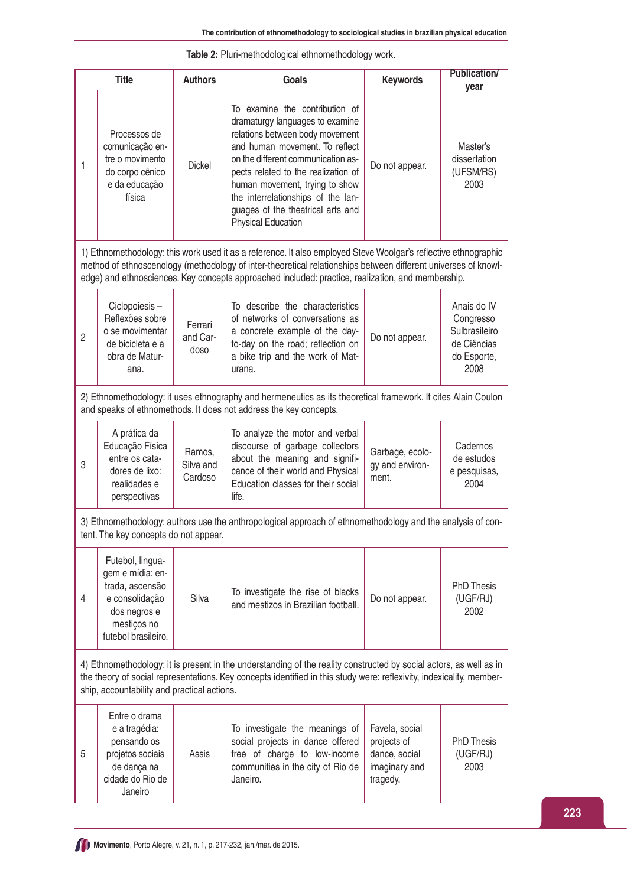| Table 2: Pluri-methodological ethnomethodology work. |  |
|------------------------------------------------------|--|
|                                                      |  |

|                | <b>Title</b>                                                                                                                                                                                                                                                                              | <b>Authors</b>                 | Goals                                                                                                                                                                                                                                                                                                                                                  | <b>Keywords</b>                                                             | <b>Publication/</b><br>year                                                     |  |
|----------------|-------------------------------------------------------------------------------------------------------------------------------------------------------------------------------------------------------------------------------------------------------------------------------------------|--------------------------------|--------------------------------------------------------------------------------------------------------------------------------------------------------------------------------------------------------------------------------------------------------------------------------------------------------------------------------------------------------|-----------------------------------------------------------------------------|---------------------------------------------------------------------------------|--|
| 1              | Processos de<br>comunicação en-<br>tre o movimento<br>do corpo cênico<br>e da educação<br>física                                                                                                                                                                                          | <b>Dickel</b>                  | To examine the contribution of<br>dramaturgy languages to examine<br>relations between body movement<br>and human movement. To reflect<br>on the different communication as-<br>pects related to the realization of<br>human movement, trying to show<br>the interrelationships of the lan-<br>guages of the theatrical arts and<br>Physical Education | Do not appear.                                                              | Master's<br>dissertation<br>(UFSM/RS)<br>2003                                   |  |
|                |                                                                                                                                                                                                                                                                                           |                                | 1) Ethnomethodology: this work used it as a reference. It also employed Steve Woolgar's reflective ethnographic<br>method of ethnoscenology (methodology of inter-theoretical relationships between different universes of knowl-<br>edge) and ethnosciences. Key concepts approached included: practice, realization, and membership.                 |                                                                             |                                                                                 |  |
| $\overline{c}$ | Ciclopoiesis-<br>Reflexões sobre<br>o se movimentar<br>de bicicleta e a<br>obra de Matur-<br>ana.                                                                                                                                                                                         | Ferrari<br>and Car-<br>doso    | To describe the characteristics<br>of networks of conversations as<br>a concrete example of the day-<br>to-day on the road; reflection on<br>a bike trip and the work of Mat-<br>urana.                                                                                                                                                                | Do not appear.                                                              | Anais do IV<br>Congresso<br>Sulbrasileiro<br>de Ciências<br>do Esporte,<br>2008 |  |
|                |                                                                                                                                                                                                                                                                                           |                                | 2) Ethnomethodology: it uses ethnography and hermeneutics as its theoretical framework. It cites Alain Coulon<br>and speaks of ethnomethods. It does not address the key concepts.                                                                                                                                                                     |                                                                             |                                                                                 |  |
| 3              | A prática da<br>Educação Física<br>entre os cata-<br>dores de lixo:<br>realidades e<br>perspectivas                                                                                                                                                                                       | Ramos,<br>Silva and<br>Cardoso | To analyze the motor and verbal<br>discourse of garbage collectors<br>about the meaning and signifi-<br>cance of their world and Physical<br>Education classes for their social<br>life.                                                                                                                                                               | Garbage, ecolo-<br>gy and environ-<br>ment.                                 | Cadernos<br>de estudos<br>e pesquisas,<br>2004                                  |  |
|                | tent. The key concepts do not appear.                                                                                                                                                                                                                                                     |                                | 3) Ethnomethodology: authors use the anthropological approach of ethnomethodology and the analysis of con-                                                                                                                                                                                                                                             |                                                                             |                                                                                 |  |
| 4              | Futebol, lingua-<br>gem e mídia: en-<br>trada, ascensão<br>e consolidação<br>dos negros e<br>mestiços no<br>futebol brasileiro.                                                                                                                                                           | Silva                          | To investigate the rise of blacks<br>and mestizos in Brazilian football.                                                                                                                                                                                                                                                                               | Do not appear.                                                              | <b>PhD Thesis</b><br>(UGF/RJ)<br>2002                                           |  |
|                | 4) Ethnomethodology: it is present in the understanding of the reality constructed by social actors, as well as in<br>the theory of social representations. Key concepts identified in this study were: reflexivity, indexicality, member-<br>ship, accountability and practical actions. |                                |                                                                                                                                                                                                                                                                                                                                                        |                                                                             |                                                                                 |  |
| 5              | Entre o drama<br>e a tragédia:<br>pensando os<br>projetos sociais<br>de dança na<br>cidade do Rio de<br>Janeiro                                                                                                                                                                           | Assis                          | To investigate the meanings of<br>social projects in dance offered<br>free of charge to low-income<br>communities in the city of Rio de<br>Janeiro.                                                                                                                                                                                                    | Favela, social<br>projects of<br>dance, social<br>imaginary and<br>tragedy. | <b>PhD Thesis</b><br>(UGF/RJ)<br>2003                                           |  |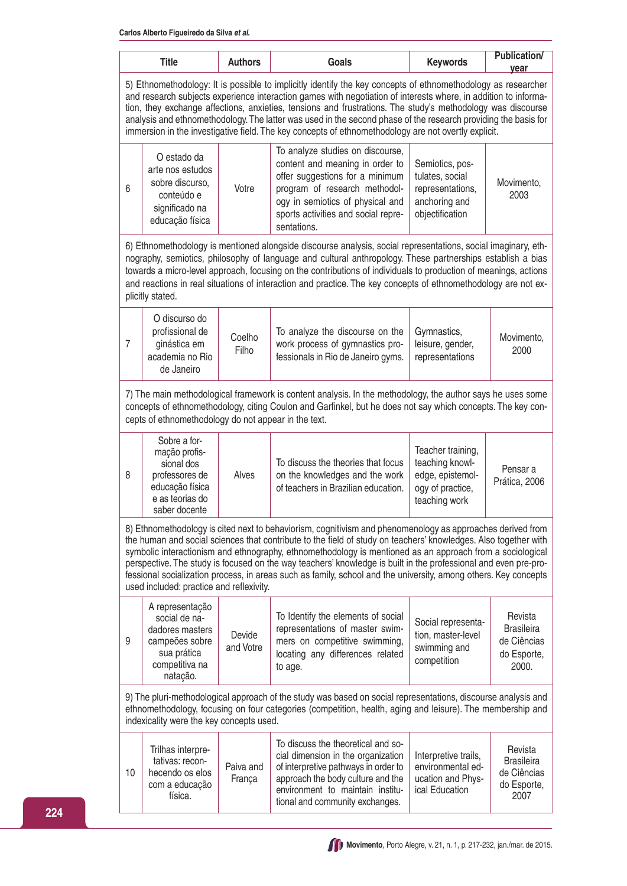|    | <b>Title</b>                                                                                                                                                                                                                                                                                                                                                                                                                                                                                                                                                              | <b>Authors</b>      | Goals                                                                                                                                                                                                                                                                                                                                                                                                                                                                                                                                                                            | <b>Keywords</b>                                                                               | <b>Publication/</b><br>year                                         |  |  |
|----|---------------------------------------------------------------------------------------------------------------------------------------------------------------------------------------------------------------------------------------------------------------------------------------------------------------------------------------------------------------------------------------------------------------------------------------------------------------------------------------------------------------------------------------------------------------------------|---------------------|----------------------------------------------------------------------------------------------------------------------------------------------------------------------------------------------------------------------------------------------------------------------------------------------------------------------------------------------------------------------------------------------------------------------------------------------------------------------------------------------------------------------------------------------------------------------------------|-----------------------------------------------------------------------------------------------|---------------------------------------------------------------------|--|--|
|    | 5) Ethnomethodology: It is possible to implicitly identify the key concepts of ethnomethodology as researcher<br>and research subjects experience interaction games with negotiation of interests where, in addition to informa-<br>tion, they exchange affections, anxieties, tensions and frustrations. The study's methodology was discourse<br>analysis and ethnomethodology. The latter was used in the second phase of the research providing the basis for<br>immersion in the investigative field. The key concepts of ethnomethodology are not overtly explicit. |                     |                                                                                                                                                                                                                                                                                                                                                                                                                                                                                                                                                                                  |                                                                                               |                                                                     |  |  |
| 6  | O estado da<br>arte nos estudos<br>sobre discurso,<br>conteúdo e<br>significado na<br>educação física                                                                                                                                                                                                                                                                                                                                                                                                                                                                     | Votre               | To analyze studies on discourse,<br>content and meaning in order to<br>offer suggestions for a minimum<br>program of research methodol-<br>ogy in semiotics of physical and<br>sports activities and social repre-<br>sentations.                                                                                                                                                                                                                                                                                                                                                | Semiotics, pos-<br>tulates, social<br>representations,<br>anchoring and<br>objectification    | Movimento,<br>2003                                                  |  |  |
|    | plicitly stated.                                                                                                                                                                                                                                                                                                                                                                                                                                                                                                                                                          |                     | 6) Ethnomethodology is mentioned alongside discourse analysis, social representations, social imaginary, eth-<br>nography, semiotics, philosophy of language and cultural anthropology. These partnerships establish a bias<br>towards a micro-level approach, focusing on the contributions of individuals to production of meanings, actions<br>and reactions in real situations of interaction and practice. The key concepts of ethnomethodology are not ex-                                                                                                                 |                                                                                               |                                                                     |  |  |
| 7  | O discurso do<br>profissional de<br>ginástica em<br>academia no Rio<br>de Janeiro                                                                                                                                                                                                                                                                                                                                                                                                                                                                                         | Coelho<br>Filho     | To analyze the discourse on the<br>work process of gymnastics pro-<br>fessionals in Rio de Janeiro gyms.                                                                                                                                                                                                                                                                                                                                                                                                                                                                         | Gymnastics,<br>leisure, gender,<br>representations                                            | Movimento,<br>2000                                                  |  |  |
|    | cepts of ethnomethodology do not appear in the text.                                                                                                                                                                                                                                                                                                                                                                                                                                                                                                                      |                     | 7) The main methodological framework is content analysis. In the methodology, the author says he uses some<br>concepts of ethnomethodology, citing Coulon and Garfinkel, but he does not say which concepts. The key con-                                                                                                                                                                                                                                                                                                                                                        |                                                                                               |                                                                     |  |  |
| 8  | Sobre a for-<br>mação profis-<br>sional dos<br>professores de<br>educação física<br>e as teorias do<br>saber docente                                                                                                                                                                                                                                                                                                                                                                                                                                                      | Alves               | To discuss the theories that focus<br>on the knowledges and the work<br>of teachers in Brazilian education.                                                                                                                                                                                                                                                                                                                                                                                                                                                                      | Teacher training,<br>teaching knowl-<br>edge, epistemol-<br>ogy of practice,<br>teaching work | Pensar a<br>Prática, 2006                                           |  |  |
|    | used included: practice and reflexivity.                                                                                                                                                                                                                                                                                                                                                                                                                                                                                                                                  |                     | 8) Ethnomethodology is cited next to behaviorism, cognitivism and phenomenology as approaches derived from<br>the human and social sciences that contribute to the field of study on teachers' knowledges. Also together with<br>symbolic interactionism and ethnography, ethnomethodology is mentioned as an approach from a sociological<br>perspective. The study is focused on the way teachers' knowledge is built in the professional and even pre-pro-<br>fessional socialization process, in areas such as family, school and the university, among others. Key concepts |                                                                                               |                                                                     |  |  |
| 9  | A representação<br>social de na-<br>dadores masters<br>campeões sobre<br>sua prática<br>competitiva na<br>natação.                                                                                                                                                                                                                                                                                                                                                                                                                                                        | Devide<br>and Votre | To Identify the elements of social<br>representations of master swim-<br>mers on competitive swimming,<br>locating any differences related<br>to age.                                                                                                                                                                                                                                                                                                                                                                                                                            | Social representa-<br>tion, master-level<br>swimming and<br>competition                       | Revista<br><b>Brasileira</b><br>de Ciências<br>do Esporte,<br>2000. |  |  |
|    | 9) The pluri-methodological approach of the study was based on social representations, discourse analysis and<br>ethnomethodology, focusing on four categories (competition, health, aging and leisure). The membership and<br>indexicality were the key concepts used.                                                                                                                                                                                                                                                                                                   |                     |                                                                                                                                                                                                                                                                                                                                                                                                                                                                                                                                                                                  |                                                                                               |                                                                     |  |  |
| 10 | Trilhas interpre-<br>tativas: recon-<br>hecendo os elos<br>com a educação<br>física.                                                                                                                                                                                                                                                                                                                                                                                                                                                                                      | Paiva and<br>França | To discuss the theoretical and so-<br>cial dimension in the organization<br>of interpretive pathways in order to<br>approach the body culture and the<br>environment to maintain institu-<br>tional and community exchanges.                                                                                                                                                                                                                                                                                                                                                     | Interpretive trails,<br>environmental ed-<br>ucation and Phys-<br>ical Education              | Revista<br><b>Brasileira</b><br>de Ciências<br>do Esporte,<br>2007  |  |  |

**Movimento**, Porto Alegre, v. 21, n. 1, p. 217-232, jan./mar. de 2015.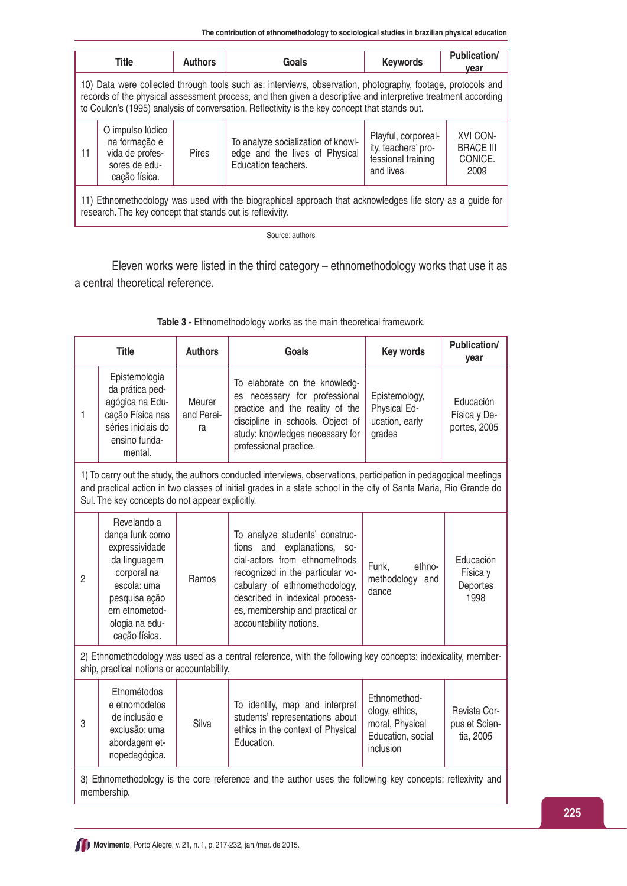**The contribution of ethnomethodology to sociological studies in brazilian physical education**

|                                                                                                                                                                                                                                                                                                                               | <b>Title</b>                                                                           | <b>Authors</b> | Goals                                                                                       | <b>Keywords</b>                                                               | <b>Publication/</b><br><u>vear</u>              |  |  |  |  |  |  |  |  |
|-------------------------------------------------------------------------------------------------------------------------------------------------------------------------------------------------------------------------------------------------------------------------------------------------------------------------------|----------------------------------------------------------------------------------------|----------------|---------------------------------------------------------------------------------------------|-------------------------------------------------------------------------------|-------------------------------------------------|--|--|--|--|--|--|--|--|
| 10) Data were collected through tools such as: interviews, observation, photography, footage, protocols and<br>records of the physical assessment process, and then given a descriptive and interpretive treatment according<br>to Coulon's (1995) analysis of conversation. Reflectivity is the key concept that stands out. |                                                                                        |                |                                                                                             |                                                                               |                                                 |  |  |  |  |  |  |  |  |
| 11                                                                                                                                                                                                                                                                                                                            | O impulso lúdico<br>na formação e<br>vida de profes-<br>sores de edu-<br>cação física. | Pires          | To analyze socialization of knowl-<br>edge and the lives of Physical<br>Education teachers. | Playful, corporeal-<br>ity, teachers' pro-<br>fessional training<br>and lives | XVI CON-<br><b>BRACE III</b><br>CONICE.<br>2009 |  |  |  |  |  |  |  |  |
| 11) Ethnomethodology was used with the biographical approach that acknowledges life story as a guide for<br>research. The key concept that stands out is reflexivity.                                                                                                                                                         |                                                                                        |                |                                                                                             |                                                                               |                                                 |  |  |  |  |  |  |  |  |
|                                                                                                                                                                                                                                                                                                                               |                                                                                        |                | Course outboxe                                                                              |                                                                               |                                                 |  |  |  |  |  |  |  |  |

Source: authors

Eleven works were listed in the third category – ethnomethodology works that use it as a central theoretical reference.

|              | <b>Title</b>                                                                                                                                                        | <b>Authors</b>             | Goals                                                                                                                                                                                                                                                                   | Key words                                                                           | <b>Publication/</b><br>year                |
|--------------|---------------------------------------------------------------------------------------------------------------------------------------------------------------------|----------------------------|-------------------------------------------------------------------------------------------------------------------------------------------------------------------------------------------------------------------------------------------------------------------------|-------------------------------------------------------------------------------------|--------------------------------------------|
| 1            | Epistemologia<br>da prática ped-<br>agógica na Edu-<br>cação Física nas<br>séries iniciais do<br>ensino funda-<br>mental.                                           | Meurer<br>and Perei-<br>ra | To elaborate on the knowledg-<br>es necessary for professional<br>practice and the reality of the<br>discipline in schools. Object of<br>study: knowledges necessary for<br>professional practice.                                                                      | Epistemology,<br>Physical Ed-<br>ucation, early<br>grades                           | Educación<br>Física y De-<br>portes, 2005  |
|              | Sul. The key concepts do not appear explicitly.                                                                                                                     |                            | 1) To carry out the study, the authors conducted interviews, observations, participation in pedagogical meetings<br>and practical action in two classes of initial grades in a state school in the city of Santa Maria, Rio Grande do                                   |                                                                                     |                                            |
| $\mathbf{2}$ | Revelando a<br>dança funk como<br>expressividade<br>da linguagem<br>corporal na<br>escola: uma<br>pesquisa ação<br>em etnometod-<br>ologia na edu-<br>cação física. | Ramos                      | To analyze students' construc-<br>tions and<br>explanations, so-<br>cial-actors from ethnomethods<br>recognized in the particular vo-<br>cabulary of ethnomethodology,<br>described in indexical process-<br>es, membership and practical or<br>accountability notions. | Funk,<br>ethno-<br>methodology and<br>dance                                         | Educación<br>Física y<br>Deportes<br>1998  |
|              | ship, practical notions or accountability.                                                                                                                          |                            | 2) Ethnomethodology was used as a central reference, with the following key concepts: indexicality, member-                                                                                                                                                             |                                                                                     |                                            |
| 3            | Etnométodos<br>e etnomodelos<br>de inclusão e<br>exclusão: uma<br>abordagem et-<br>nopedagógica.                                                                    | Silva                      | To identify, map and interpret<br>students' representations about<br>ethics in the context of Physical<br>Education.                                                                                                                                                    | Ethnomethod-<br>ology, ethics,<br>moral, Physical<br>Education, social<br>inclusion | Revista Cor-<br>pus et Scien-<br>tia, 2005 |
|              | membership.                                                                                                                                                         |                            | 3) Ethnomethodology is the core reference and the author uses the following key concepts: reflexivity and                                                                                                                                                               |                                                                                     |                                            |

| Table 3 - Ethnomethodology works as the main theoretical framework. |  |  |
|---------------------------------------------------------------------|--|--|
|                                                                     |  |  |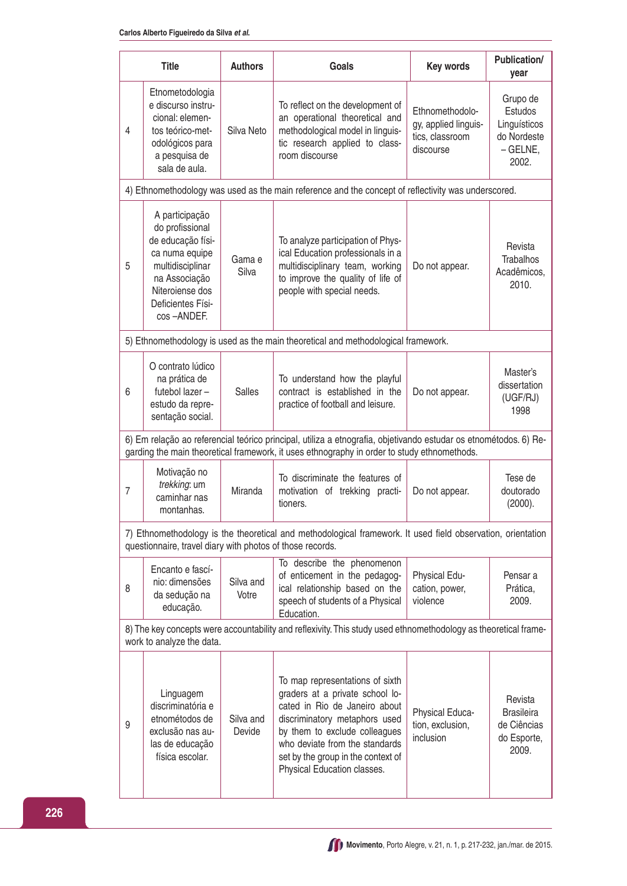|                | <b>Title</b>                                                                                                                                                        | <b>Authors</b>      | Goals                                                                                                                                                                                                                                                                        | <b>Key words</b>                                                        | Publication/<br>year                                                      |
|----------------|---------------------------------------------------------------------------------------------------------------------------------------------------------------------|---------------------|------------------------------------------------------------------------------------------------------------------------------------------------------------------------------------------------------------------------------------------------------------------------------|-------------------------------------------------------------------------|---------------------------------------------------------------------------|
| 4              | Etnometodologia<br>e discurso instru-<br>cional: elemen-<br>tos teórico-met-<br>odológicos para<br>a pesquisa de<br>sala de aula.                                   | Silva Neto          | To reflect on the development of<br>an operational theoretical and<br>methodological model in linguis-<br>tic research applied to class-<br>room discourse                                                                                                                   | Ethnomethodolo-<br>gy, applied linguis-<br>tics, classroom<br>discourse | Grupo de<br>Estudos<br>Linguísticos<br>do Nordeste<br>$-$ GELNE,<br>2002. |
|                |                                                                                                                                                                     |                     | 4) Ethnomethodology was used as the main reference and the concept of reflectivity was underscored.                                                                                                                                                                          |                                                                         |                                                                           |
| 5              | A participação<br>do profissional<br>de educação físi-<br>ca numa equipe<br>multidisciplinar<br>na Associação<br>Niteroiense dos<br>Deficientes Físi-<br>cos-ANDEF. | Gama e<br>Silva     | To analyze participation of Phys-<br>ical Education professionals in a<br>multidisciplinary team, working<br>to improve the quality of life of<br>people with special needs.                                                                                                 | Do not appear.                                                          | Revista<br><b>Trabalhos</b><br>Acadêmicos,<br>2010.                       |
|                |                                                                                                                                                                     |                     | 5) Ethnomethodology is used as the main theoretical and methodological framework.                                                                                                                                                                                            |                                                                         |                                                                           |
| 6              | O contrato lúdico<br>na prática de<br>futebol lazer -<br>estudo da repre-<br>sentação social.                                                                       | <b>Salles</b>       | To understand how the playful<br>contract is established in the<br>practice of football and leisure.                                                                                                                                                                         | Do not appear.                                                          | Master's<br>dissertation<br>(UGF/RJ)<br>1998                              |
|                |                                                                                                                                                                     |                     | 6) Em relação ao referencial teórico principal, utiliza a etnografia, objetivando estudar os etnométodos. 6) Re-<br>garding the main theoretical framework, it uses ethnography in order to study ethnomethods.                                                              |                                                                         |                                                                           |
| $\overline{7}$ | Motivação no<br>trekking: um<br>caminhar nas<br>montanhas.                                                                                                          | Miranda             | To discriminate the features of<br>motivation of trekking practi-<br>tioners.                                                                                                                                                                                                | Do not appear.                                                          | Tese de<br>doutorado<br>(2000).                                           |
|                | questionnaire, travel diary with photos of those records.                                                                                                           |                     | 7) Ethnomethodology is the theoretical and methodological framework. It used field observation, orientation                                                                                                                                                                  |                                                                         |                                                                           |
| 8              | Encanto e fascí-<br>nio: dimensões<br>da sedução na<br>educação.                                                                                                    | Silva and<br>Votre  | To describe the phenomenon<br>of enticement in the pedagog-<br>ical relationship based on the<br>speech of students of a Physical<br>Education.                                                                                                                              | Physical Edu-<br>cation, power,<br>violence                             | Pensar a<br>Prática,<br>2009.                                             |
|                | work to analyze the data.                                                                                                                                           |                     | 8) The key concepts were accountability and reflexivity. This study used ethnomethodology as theoretical frame-                                                                                                                                                              |                                                                         |                                                                           |
| 9              | Linguagem<br>discriminatória e<br>etnométodos de<br>exclusão nas au-<br>las de educação<br>física escolar.                                                          | Silva and<br>Devide | To map representations of sixth<br>graders at a private school lo-<br>cated in Rio de Janeiro about<br>discriminatory metaphors used<br>by them to exclude colleagues<br>who deviate from the standards<br>set by the group in the context of<br>Physical Education classes. | Physical Educa-<br>tion, exclusion,<br>inclusion                        | Revista<br><b>Brasileira</b><br>de Ciências<br>do Esporte,<br>2009.       |

**Movimento**, Porto Alegre, v. 21, n. 1, p. 217-232, jan./mar. de 2015.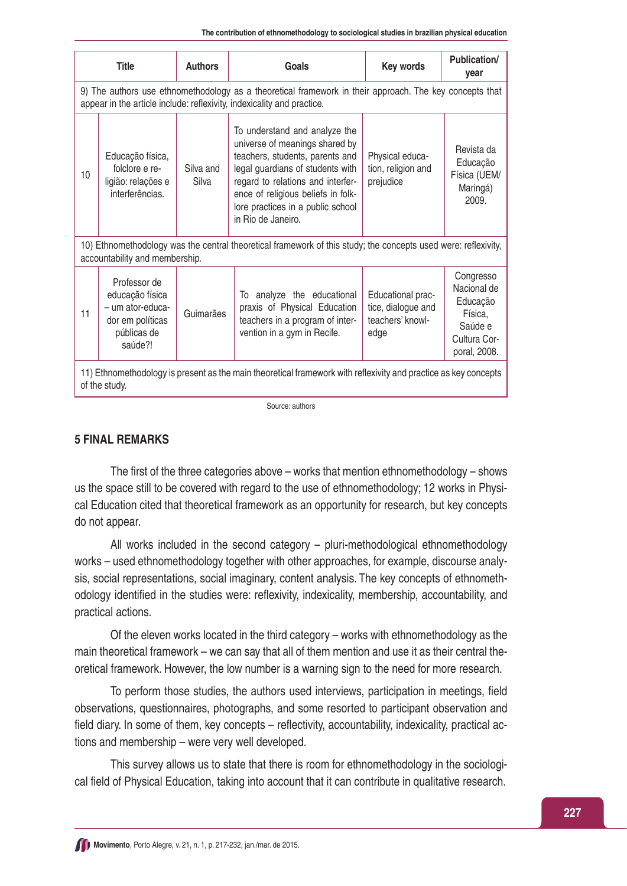|    | <b>Title</b>                                                                                                                     | <b>Authors</b>     | Goals                                                                                                                                                                                                                                                                        | Key words                                                           | <b>Publication/</b><br>year                                                                |  |  |  |
|----|----------------------------------------------------------------------------------------------------------------------------------|--------------------|------------------------------------------------------------------------------------------------------------------------------------------------------------------------------------------------------------------------------------------------------------------------------|---------------------------------------------------------------------|--------------------------------------------------------------------------------------------|--|--|--|
|    |                                                                                                                                  |                    | 9) The authors use ethnomethodology as a theoretical framework in their approach. The key concepts that<br>appear in the article include: reflexivity, indexicality and practice.                                                                                            |                                                                     |                                                                                            |  |  |  |
| 10 | Educação física,<br>folclore e re-<br>ligião: relações e<br>interferências.                                                      | Silva and<br>Silva | To understand and analyze the<br>universe of meanings shared by<br>teachers, students, parents and<br>legal guardians of students with<br>regard to relations and interfer-<br>ence of religious beliefs in folk-<br>lore practices in a public school<br>in Rio de Janeiro. | Physical educa-<br>tion, religion and<br>prejudice                  | Revista da<br>Educação<br>Física (UEM/<br>Maringá)<br>2009                                 |  |  |  |
|    | accountability and membership.                                                                                                   |                    | 10) Ethnomethodology was the central theoretical framework of this study; the concepts used were: reflexivity,                                                                                                                                                               |                                                                     |                                                                                            |  |  |  |
| 11 | Professor de<br>educação física<br>- um ator-educa-<br>dor em políticas<br>públicas de<br>saúde?!                                | Guimarães          | To analyze the educational<br>praxis of Physical Education<br>teachers in a program of inter-<br>vention in a gym in Recife.                                                                                                                                                 | Educational prac-<br>tice, dialogue and<br>teachers' knowl-<br>edge | Congresso<br>Nacional de<br>Educação<br>Física,<br>Saúde e<br>Cultura Cor-<br>poral, 2008. |  |  |  |
|    | 11) Ethnomethodology is present as the main theoretical framework with reflexivity and practice as key concepts<br>of the study. |                    |                                                                                                                                                                                                                                                                              |                                                                     |                                                                                            |  |  |  |

Source: authors

#### **5 FINAL REMARKS**

The first of the three categories above – works that mention ethnomethodology – shows us the space still to be covered with regard to the use of ethnomethodology; 12 works in Physical Education cited that theoretical framework as an opportunity for research, but key concepts do not appear.

All works included in the second category – pluri-methodological ethnomethodology works – used ethnomethodology together with other approaches, for example, discourse analysis, social representations, social imaginary, content analysis. The key concepts of ethnomethodology identified in the studies were: reflexivity, indexicality, membership, accountability, and practical actions.

Of the eleven works located in the third category – works with ethnomethodology as the main theoretical framework – we can say that all of them mention and use it as their central theoretical framework. However, the low number is a warning sign to the need for more research.

To perform those studies, the authors used interviews, participation in meetings, field observations, questionnaires, photographs, and some resorted to participant observation and field diary. In some of them, key concepts – reflectivity, accountability, indexicality, practical actions and membership – were very well developed.

This survey allows us to state that there is room for ethnomethodology in the sociological field of Physical Education, taking into account that it can contribute in qualitative research.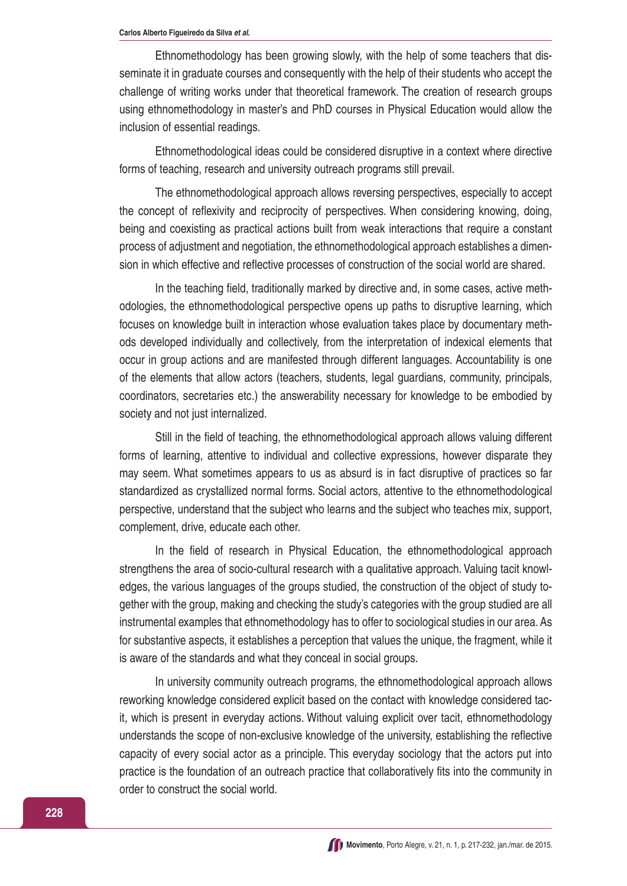Ethnomethodology has been growing slowly, with the help of some teachers that disseminate it in graduate courses and consequently with the help of their students who accept the challenge of writing works under that theoretical framework. The creation of research groups using ethnomethodology in master's and PhD courses in Physical Education would allow the inclusion of essential readings.

Ethnomethodological ideas could be considered disruptive in a context where directive forms of teaching, research and university outreach programs still prevail.

The ethnomethodological approach allows reversing perspectives, especially to accept the concept of reflexivity and reciprocity of perspectives. When considering knowing, doing, being and coexisting as practical actions built from weak interactions that require a constant process of adjustment and negotiation, the ethnomethodological approach establishes a dimension in which effective and reflective processes of construction of the social world are shared.

In the teaching field, traditionally marked by directive and, in some cases, active methodologies, the ethnomethodological perspective opens up paths to disruptive learning, which focuses on knowledge built in interaction whose evaluation takes place by documentary methods developed individually and collectively, from the interpretation of indexical elements that occur in group actions and are manifested through different languages. Accountability is one of the elements that allow actors (teachers, students, legal guardians, community, principals, coordinators, secretaries etc.) the answerability necessary for knowledge to be embodied by society and not just internalized.

Still in the field of teaching, the ethnomethodological approach allows valuing different forms of learning, attentive to individual and collective expressions, however disparate they may seem. What sometimes appears to us as absurd is in fact disruptive of practices so far standardized as crystallized normal forms. Social actors, attentive to the ethnomethodological perspective, understand that the subject who learns and the subject who teaches mix, support, complement, drive, educate each other.

In the field of research in Physical Education, the ethnomethodological approach strengthens the area of socio-cultural research with a qualitative approach. Valuing tacit knowledges, the various languages of the groups studied, the construction of the object of study together with the group, making and checking the study's categories with the group studied are all instrumental examples that ethnomethodology has to offer to sociological studies in our area. As for substantive aspects, it establishes a perception that values the unique, the fragment, while it is aware of the standards and what they conceal in social groups.

In university community outreach programs, the ethnomethodological approach allows reworking knowledge considered explicit based on the contact with knowledge considered tacit, which is present in everyday actions. Without valuing explicit over tacit, ethnomethodology understands the scope of non-exclusive knowledge of the university, establishing the reflective capacity of every social actor as a principle. This everyday sociology that the actors put into practice is the foundation of an outreach practice that collaboratively fits into the community in order to construct the social world.

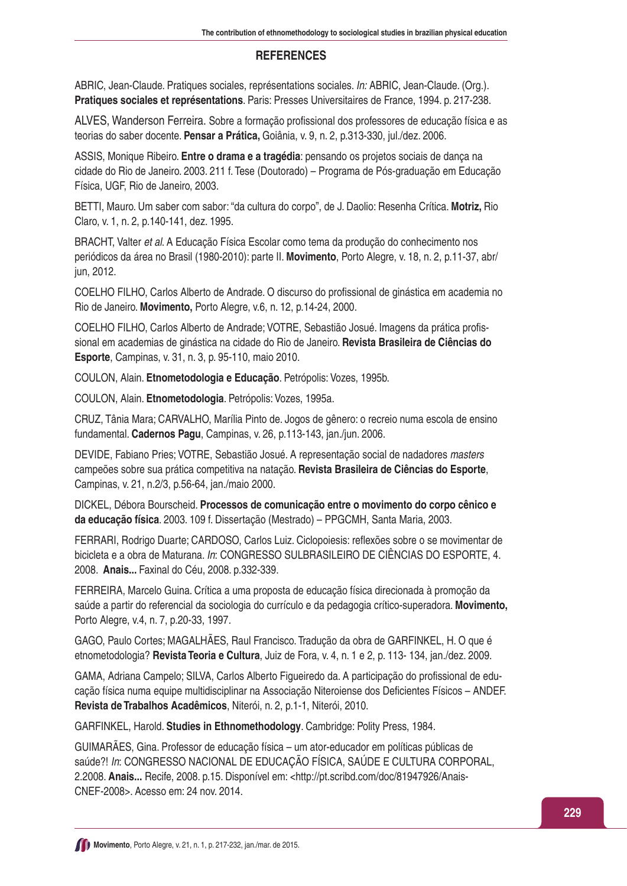## **REFERENCES**

ABRIC, Jean-Claude. Pratiques sociales, représentations sociales. In: ABRIC, Jean-Claude. (Org.). **Pratiques sociales et représentations**. Paris: Presses Universitaires de France, 1994. p. 217-238.

ALVES, Wanderson Ferreira. Sobre a formação profissional dos professores de educação física e as teorias do saber docente. **Pensar a Prática,** Goiânia, v. 9, n. 2, p.313-330, jul./dez. 2006.

ASSIS, Monique Ribeiro. **Entre o drama e a tragédia**: pensando os projetos sociais de dança na cidade do Rio de Janeiro. 2003. 211 f. Tese (Doutorado) – Programa de Pós-graduação em Educação Física, UGF, Rio de Janeiro, 2003.

BETTI, Mauro. Um saber com sabor: "da cultura do corpo", de J. Daolio: Resenha Crítica. **Motriz,** Rio Claro, v. 1, n. 2, p.140-141, dez. 1995.

BRACHT, Valter et al. A Educação Física Escolar como tema da produção do conhecimento nos periódicos da área no Brasil (1980-2010): parte II. **Movimento**, Porto Alegre, v. 18, n. 2, p.11-37, abr/ jun, 2012.

COELHO FILHO, Carlos Alberto de Andrade. O discurso do profissional de ginástica em academia no Rio de Janeiro. **Movimento,** Porto Alegre, v.6, n. 12, p.14-24, 2000.

COELHO FILHO, Carlos Alberto de Andrade; VOTRE, Sebastião Josué. Imagens da prática profissional em academias de ginástica na cidade do Rio de Janeiro. **Revista Brasileira de Ciências do Esporte**, Campinas, v. 31, n. 3, p. 95-110, maio 2010.

COULON, Alain. **Etnometodologia e Educação**. Petrópolis: Vozes, 1995b.

COULON, Alain. **Etnometodologia**. Petrópolis: Vozes, 1995a.

CRUZ, Tânia Mara; CARVALHO, Marília Pinto de. Jogos de gênero: o recreio numa escola de ensino fundamental. **Cadernos Pagu**, Campinas, v. 26, p.113-143, jan./jun. 2006.

DEVIDE, Fabiano Pries; VOTRE, Sebastião Josué. A representação social de nadadores masters campeões sobre sua prática competitiva na natação. **Revista Brasileira de Ciências do Esporte**, Campinas, v. 21, n.2/3, p.56-64, jan./maio 2000.

DICKEL, Débora Bourscheid. **Processos de comunicação entre o movimento do corpo cênico e da educação física**. 2003. 109 f. Dissertação (Mestrado) – PPGCMH, Santa Maria, 2003.

FERRARI, Rodrigo Duarte; CARDOSO, Carlos Luiz. Ciclopoiesis: reflexões sobre o se movimentar de bicicleta e a obra de Maturana. In: CONGRESSO SULBRASILEIRO DE CIÊNCIAS DO ESPORTE, 4. 2008. **Anais...** Faxinal do Céu, 2008. p.332-339.

FERREIRA, Marcelo Guina. Crítica a uma proposta de educação física direcionada à promoção da saúde a partir do referencial da sociologia do currículo e da pedagogia crítico-superadora. **Movimento,**  Porto Alegre, v.4, n. 7, p.20-33, 1997.

GAGO, Paulo Cortes; MAGALHÃES, Raul Francisco. Tradução da obra de GARFINKEL, H. O que é etnometodologia? **Revista Teoria e Cultura**, Juiz de Fora, v. 4, n. 1 e 2, p. 113- 134, jan./dez. 2009.

GAMA, Adriana Campelo; SILVA, Carlos Alberto Figueiredo da. A participação do profissional de educação física numa equipe multidisciplinar na Associação Niteroiense dos Deficientes Físicos – ANDEF. **Revista de Trabalhos Acadêmicos**, Niterói, n. 2, p.1-1, Niterói, 2010.

GARFINKEL, Harold. **Studies in Ethnomethodology**. Cambridge: Polity Press, 1984.

GUIMARÃES, Gina. Professor de educação física – um ator-educador em políticas públicas de saúde?! In: CONGRESSO NACIONAL DE EDUCAÇÃO FÍSICA, SAÚDE E CULTURA CORPORAL, 2.2008. **Anais...** Recife, 2008. p.15. Disponível em: <http://pt.scribd.com/doc/81947926/Anais-CNEF-2008>. Acesso em: 24 nov. 2014.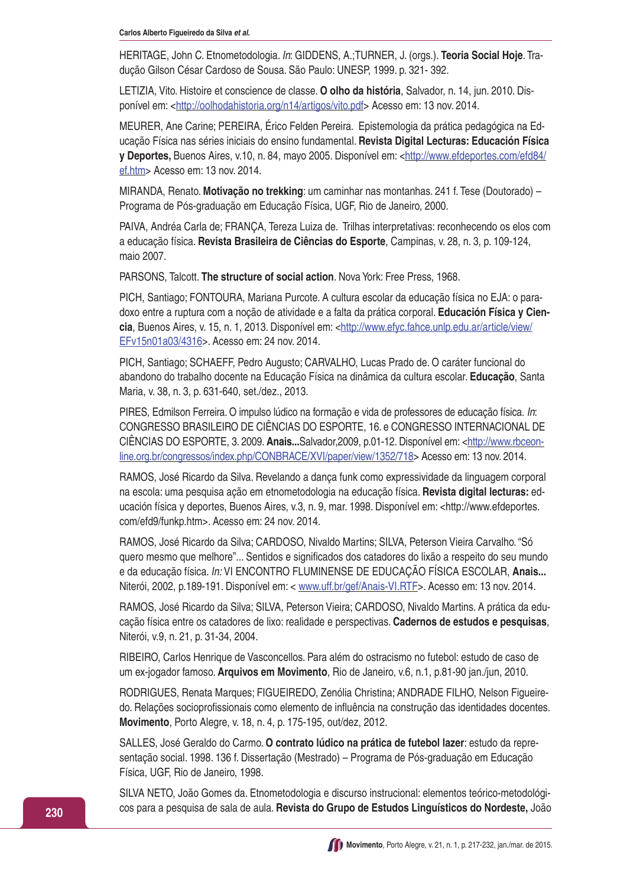HERITAGE, John C. Etnometodologia. In: GIDDENS, A.;TURNER, J. (orgs.). **Teoria Social Hoje**. Tradução Gilson César Cardoso de Sousa. São Paulo: UNESP, 1999. p. 321- 392.

LETIZIA, Vito. Histoire et conscience de classe. **O olho da história**, Salvador, n. 14, jun. 2010. Disponível em: <http://oolhodahistoria.org/n14/artigos/vito.pdf> Acesso em: 13 nov. 2014.

MEURER, Ane Carine; PEREIRA, Érico Felden Pereira. Epistemologia da prática pedagógica na Educação Física nas séries iniciais do ensino fundamental. **Revista Digital Lecturas: Educación Física y Deportes,** Buenos Aires, v.10, n. 84, mayo 2005. Disponível em: <http://www.efdeportes.com/efd84/ ef.htm> Acesso em: 13 nov. 2014.

MIRANDA, Renato. **Motivação no trekking**: um caminhar nas montanhas. 241 f. Tese (Doutorado) – Programa de Pós-graduação em Educação Física, UGF, Rio de Janeiro, 2000.

PAIVA, Andréa Carla de; FRANÇA, Tereza Luiza de. Trilhas interpretativas: reconhecendo os elos com a educação física. **Revista Brasileira de Ciências do Esporte**, Campinas, v. 28, n. 3, p. 109-124, maio 2007.

PARSONS, Talcott. **The structure of social action**. Nova York: Free Press, 1968.

PICH, Santiago; FONTOURA, Mariana Purcote. A cultura escolar da educação física no EJA: o paradoxo entre a ruptura com a noção de atividade e a falta da prática corporal. **Educación Física y Ciencia**, Buenos Aires, v. 15, n. 1, 2013. Disponível em: <http://www.efyc.fahce.unlp.edu.ar/article/view/ EFv15n01a03/4316>. Acesso em: 24 nov. 2014.

PICH, Santiago; SCHAEFF, Pedro Augusto; CARVALHO, Lucas Prado de. O caráter funcional do abandono do trabalho docente na Educação Física na dinâmica da cultura escolar. **Educação**, Santa Maria, v. 38, n. 3, p. 631-640, set./dez., 2013.

PIRES, Edmilson Ferreira. O impulso lúdico na formação e vida de professores de educação física. In: CONGRESSO BRASILEIRO DE CIÊNCIAS DO ESPORTE, 16. e CONGRESSO INTERNACIONAL DE CIÊNCIAS DO ESPORTE, 3. 2009. **Anais...**Salvador,2009, p.01-12. Disponível em: <http://www.rbceonline.org.br/congressos/index.php/CONBRACE/XVI/paper/view/1352/718> Acesso em: 13 nov. 2014.

RAMOS, José Ricardo da Silva. Revelando a dança funk como expressividade da linguagem corporal na escola: uma pesquisa ação em etnometodologia na educação física. **Revista digital lecturas:** educación física y deportes, Buenos Aires, v.3, n. 9, mar. 1998. Disponível em: <http://www.efdeportes. com/efd9/funkp.htm>. Acesso em: 24 nov. 2014.

RAMOS, José Ricardo da Silva; CARDOSO, Nivaldo Martins; SILVA, Peterson Vieira Carvalho. "Só quero mesmo que melhore"... Sentidos e significados dos catadores do lixão a respeito do seu mundo e da educação física. In: VI ENCONTRO FLUMINENSE DE EDUCAÇÃO FÍSICA ESCOLAR, **Anais...** Niterói, 2002, p.189-191. Disponível em: < www.uff.br/gef/Anais-VI.RTF>. Acesso em: 13 nov. 2014.

RAMOS, José Ricardo da Silva; SILVA, Peterson Vieira; CARDOSO, Nivaldo Martins. A prática da educação física entre os catadores de lixo: realidade e perspectivas. **Cadernos de estudos e pesquisas**, Niterói, v.9, n. 21, p. 31-34, 2004.

RIBEIRO, Carlos Henrique de Vasconcellos. Para além do ostracismo no futebol: estudo de caso de um ex-jogador famoso. **Arquivos em Movimento**, Rio de Janeiro, v.6, n.1, p.81-90 jan./jun, 2010.

RODRIGUES, Renata Marques; FIGUEIREDO, Zenólia Christina; ANDRADE FILHO, Nelson Figueiredo. Relações socioprofissionais como elemento de influência na construção das identidades docentes. **Movimento**, Porto Alegre, v. 18, n. 4, p. 175-195, out/dez, 2012.

SALLES, José Geraldo do Carmo. **O contrato lúdico na prática de futebol lazer**: estudo da representação social. 1998. 136 f. Dissertação (Mestrado) – Programa de Pós-graduação em Educação Física, UGF, Rio de Janeiro, 1998.

SILVA NETO, João Gomes da. Etnometodologia e discurso instrucional: elementos teórico-metodológicos para a pesquisa de sala de aula. **Revista do Grupo de Estudos Linguísticos do Nordeste,** João